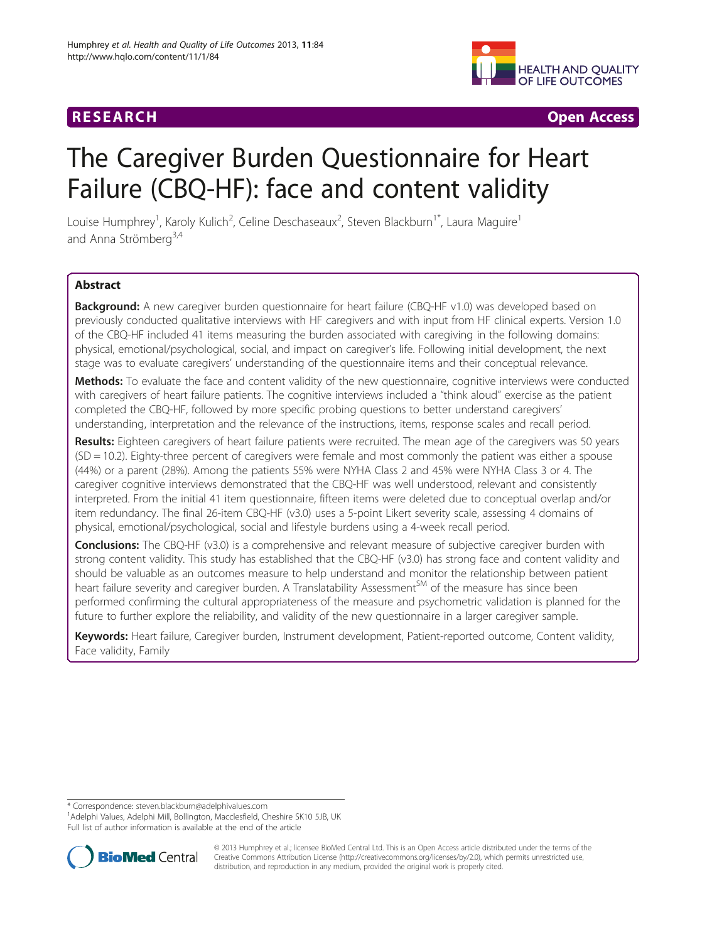## R E S EAR CH Open Access



# The Caregiver Burden Questionnaire for Heart Failure (CBQ-HF): face and content validity

Louise Humphrey<sup>1</sup>, Karoly Kulich<sup>2</sup>, Celine Deschaseaux<sup>2</sup>, Steven Blackburn<sup>1\*</sup>, Laura Maguire<sup>1</sup> and Anna Strömberg<sup>3,4</sup>

## **Abstract**

**Background:** A new caregiver burden questionnaire for heart failure (CBQ-HF v1.0) was developed based on previously conducted qualitative interviews with HF caregivers and with input from HF clinical experts. Version 1.0 of the CBQ-HF included 41 items measuring the burden associated with caregiving in the following domains: physical, emotional/psychological, social, and impact on caregiver's life. Following initial development, the next stage was to evaluate caregivers' understanding of the questionnaire items and their conceptual relevance.

Methods: To evaluate the face and content validity of the new questionnaire, cognitive interviews were conducted with caregivers of heart failure patients. The cognitive interviews included a "think aloud" exercise as the patient completed the CBQ-HF, followed by more specific probing questions to better understand caregivers' understanding, interpretation and the relevance of the instructions, items, response scales and recall period.

Results: Eighteen caregivers of heart failure patients were recruited. The mean age of the caregivers was 50 years (SD = 10.2). Eighty-three percent of caregivers were female and most commonly the patient was either a spouse (44%) or a parent (28%). Among the patients 55% were NYHA Class 2 and 45% were NYHA Class 3 or 4. The caregiver cognitive interviews demonstrated that the CBQ-HF was well understood, relevant and consistently interpreted. From the initial 41 item questionnaire, fifteen items were deleted due to conceptual overlap and/or item redundancy. The final 26-item CBQ-HF (v3.0) uses a 5-point Likert severity scale, assessing 4 domains of physical, emotional/psychological, social and lifestyle burdens using a 4-week recall period.

**Conclusions:** The CBQ-HF (v3.0) is a comprehensive and relevant measure of subjective caregiver burden with strong content validity. This study has established that the CBQ-HF (v3.0) has strong face and content validity and should be valuable as an outcomes measure to help understand and monitor the relationship between patient heart failure severity and caregiver burden. A Translatability Assessment<sup>SM</sup> of the measure has since been performed confirming the cultural appropriateness of the measure and psychometric validation is planned for the future to further explore the reliability, and validity of the new questionnaire in a larger caregiver sample.

Keywords: Heart failure, Caregiver burden, Instrument development, Patient-reported outcome, Content validity, Face validity, Family

\* Correspondence: [steven.blackburn@adelphivalues.com](mailto:steven.blackburn@adelphivalues.com) <sup>1</sup>

<sup>1</sup> Adelphi Values, Adelphi Mill, Bollington, Macclesfield, Cheshire SK10 5JB, UK Full list of author information is available at the end of the article



© 2013 Humphrey et al.; licensee BioMed Central Ltd. This is an Open Access article distributed under the terms of the Creative Commons Attribution License (<http://creativecommons.org/licenses/by/2.0>), which permits unrestricted use, distribution, and reproduction in any medium, provided the original work is properly cited.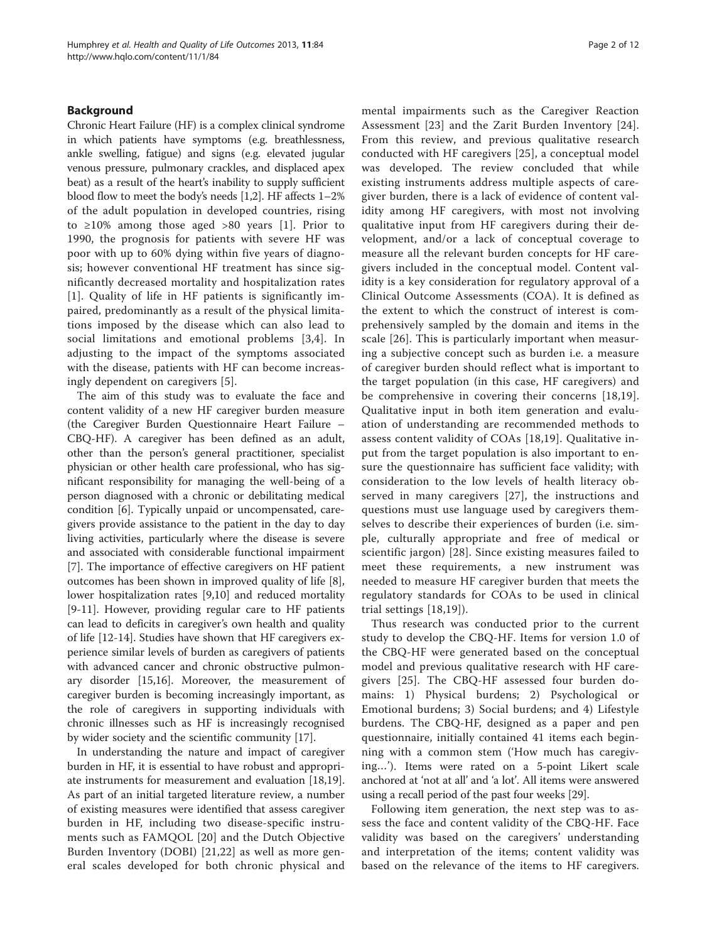## Background

Chronic Heart Failure (HF) is a complex clinical syndrome in which patients have symptoms (e.g. breathlessness, ankle swelling, fatigue) and signs (e.g. elevated jugular venous pressure, pulmonary crackles, and displaced apex beat) as a result of the heart's inability to supply sufficient blood flow to meet the body's needs [[1,2](#page-11-0)]. HF affects 1–2% of the adult population in developed countries, rising to  $\geq 10\%$  among those aged  $>80$  years [[1\]](#page-11-0). Prior to 1990, the prognosis for patients with severe HF was poor with up to 60% dying within five years of diagnosis; however conventional HF treatment has since significantly decreased mortality and hospitalization rates [[1](#page-11-0)]. Quality of life in HF patients is significantly impaired, predominantly as a result of the physical limitations imposed by the disease which can also lead to social limitations and emotional problems [\[3](#page-11-0),[4\]](#page-11-0). In adjusting to the impact of the symptoms associated with the disease, patients with HF can become increasingly dependent on caregivers [\[5](#page-11-0)].

The aim of this study was to evaluate the face and content validity of a new HF caregiver burden measure (the Caregiver Burden Questionnaire Heart Failure – CBQ-HF). A caregiver has been defined as an adult, other than the person's general practitioner, specialist physician or other health care professional, who has significant responsibility for managing the well-being of a person diagnosed with a chronic or debilitating medical condition [\[6](#page-11-0)]. Typically unpaid or uncompensated, caregivers provide assistance to the patient in the day to day living activities, particularly where the disease is severe and associated with considerable functional impairment [[7\]](#page-11-0). The importance of effective caregivers on HF patient outcomes has been shown in improved quality of life [\[8](#page-11-0)], lower hospitalization rates [[9,10](#page-11-0)] and reduced mortality [[9-11](#page-11-0)]. However, providing regular care to HF patients can lead to deficits in caregiver's own health and quality of life [[12-14](#page-11-0)]. Studies have shown that HF caregivers experience similar levels of burden as caregivers of patients with advanced cancer and chronic obstructive pulmonary disorder [\[15,16\]](#page-11-0). Moreover, the measurement of caregiver burden is becoming increasingly important, as the role of caregivers in supporting individuals with chronic illnesses such as HF is increasingly recognised by wider society and the scientific community [\[17\]](#page-11-0).

In understanding the nature and impact of caregiver burden in HF, it is essential to have robust and appropriate instruments for measurement and evaluation [\[18,19](#page-11-0)]. As part of an initial targeted literature review, a number of existing measures were identified that assess caregiver burden in HF, including two disease-specific instruments such as FAMQOL [\[20](#page-11-0)] and the Dutch Objective Burden Inventory (DOBI) [[21,22](#page-11-0)] as well as more general scales developed for both chronic physical and

mental impairments such as the Caregiver Reaction Assessment [\[23](#page-11-0)] and the Zarit Burden Inventory [[24](#page-11-0)]. From this review, and previous qualitative research conducted with HF caregivers [\[25](#page-11-0)], a conceptual model was developed. The review concluded that while existing instruments address multiple aspects of caregiver burden, there is a lack of evidence of content validity among HF caregivers, with most not involving qualitative input from HF caregivers during their development, and/or a lack of conceptual coverage to measure all the relevant burden concepts for HF caregivers included in the conceptual model. Content validity is a key consideration for regulatory approval of a Clinical Outcome Assessments (COA). It is defined as the extent to which the construct of interest is comprehensively sampled by the domain and items in the scale [\[26\]](#page-11-0). This is particularly important when measuring a subjective concept such as burden i.e. a measure of caregiver burden should reflect what is important to the target population (in this case, HF caregivers) and be comprehensive in covering their concerns [[18,19](#page-11-0)]. Qualitative input in both item generation and evaluation of understanding are recommended methods to assess content validity of COAs [[18,19](#page-11-0)]. Qualitative input from the target population is also important to ensure the questionnaire has sufficient face validity; with consideration to the low levels of health literacy observed in many caregivers [[27\]](#page-11-0), the instructions and questions must use language used by caregivers themselves to describe their experiences of burden (i.e. simple, culturally appropriate and free of medical or scientific jargon) [[28\]](#page-11-0). Since existing measures failed to meet these requirements, a new instrument was needed to measure HF caregiver burden that meets the regulatory standards for COAs to be used in clinical trial settings [\[18](#page-11-0),[19\]](#page-11-0)).

Thus research was conducted prior to the current study to develop the CBQ-HF. Items for version 1.0 of the CBQ-HF were generated based on the conceptual model and previous qualitative research with HF caregivers [\[25](#page-11-0)]. The CBQ-HF assessed four burden domains: 1) Physical burdens; 2) Psychological or Emotional burdens; 3) Social burdens; and 4) Lifestyle burdens. The CBQ-HF, designed as a paper and pen questionnaire, initially contained 41 items each beginning with a common stem ('How much has caregiving…'). Items were rated on a 5-point Likert scale anchored at 'not at all' and 'a lot'. All items were answered using a recall period of the past four weeks [[29](#page-11-0)].

Following item generation, the next step was to assess the face and content validity of the CBQ-HF. Face validity was based on the caregivers' understanding and interpretation of the items; content validity was based on the relevance of the items to HF caregivers.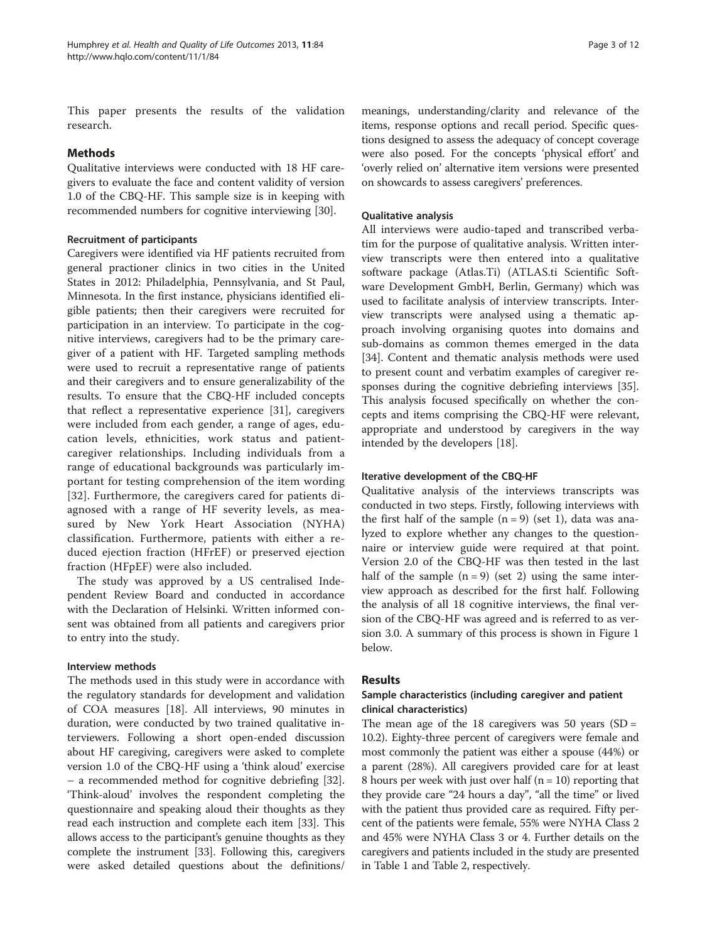This paper presents the results of the validation research.

## Methods

Qualitative interviews were conducted with 18 HF caregivers to evaluate the face and content validity of version 1.0 of the CBQ-HF. This sample size is in keeping with recommended numbers for cognitive interviewing [\[30\]](#page-11-0).

## Recruitment of participants

Caregivers were identified via HF patients recruited from general practioner clinics in two cities in the United States in 2012: Philadelphia, Pennsylvania, and St Paul, Minnesota. In the first instance, physicians identified eligible patients; then their caregivers were recruited for participation in an interview. To participate in the cognitive interviews, caregivers had to be the primary caregiver of a patient with HF. Targeted sampling methods were used to recruit a representative range of patients and their caregivers and to ensure generalizability of the results. To ensure that the CBQ-HF included concepts that reflect a representative experience [\[31](#page-11-0)], caregivers were included from each gender, a range of ages, education levels, ethnicities, work status and patientcaregiver relationships. Including individuals from a range of educational backgrounds was particularly important for testing comprehension of the item wording [[32](#page-11-0)]. Furthermore, the caregivers cared for patients diagnosed with a range of HF severity levels, as measured by New York Heart Association (NYHA) classification. Furthermore, patients with either a reduced ejection fraction (HFrEF) or preserved ejection fraction (HFpEF) were also included.

The study was approved by a US centralised Independent Review Board and conducted in accordance with the Declaration of Helsinki. Written informed consent was obtained from all patients and caregivers prior to entry into the study.

## Interview methods

The methods used in this study were in accordance with the regulatory standards for development and validation of COA measures [[18\]](#page-11-0). All interviews, 90 minutes in duration, were conducted by two trained qualitative interviewers. Following a short open-ended discussion about HF caregiving, caregivers were asked to complete version 1.0 of the CBQ-HF using a 'think aloud' exercise – a recommended method for cognitive debriefing [\[32](#page-11-0)]. 'Think-aloud' involves the respondent completing the questionnaire and speaking aloud their thoughts as they read each instruction and complete each item [\[33\]](#page-11-0). This allows access to the participant's genuine thoughts as they complete the instrument [[33](#page-11-0)]. Following this, caregivers were asked detailed questions about the definitions/ meanings, understanding/clarity and relevance of the items, response options and recall period. Specific questions designed to assess the adequacy of concept coverage were also posed. For the concepts 'physical effort' and 'overly relied on' alternative item versions were presented on showcards to assess caregivers' preferences.

## Qualitative analysis

All interviews were audio-taped and transcribed verbatim for the purpose of qualitative analysis. Written interview transcripts were then entered into a qualitative software package (Atlas.Ti) (ATLAS.ti Scientific Software Development GmbH, Berlin, Germany) which was used to facilitate analysis of interview transcripts. Interview transcripts were analysed using a thematic approach involving organising quotes into domains and sub-domains as common themes emerged in the data [[34\]](#page-11-0). Content and thematic analysis methods were used to present count and verbatim examples of caregiver responses during the cognitive debriefing interviews [\[35](#page-11-0)]. This analysis focused specifically on whether the concepts and items comprising the CBQ-HF were relevant, appropriate and understood by caregivers in the way intended by the developers [\[18](#page-11-0)].

## Iterative development of the CBQ-HF

Qualitative analysis of the interviews transcripts was conducted in two steps. Firstly, following interviews with the first half of the sample  $(n = 9)$  (set 1), data was analyzed to explore whether any changes to the questionnaire or interview guide were required at that point. Version 2.0 of the CBQ-HF was then tested in the last half of the sample  $(n = 9)$  (set 2) using the same interview approach as described for the first half. Following the analysis of all 18 cognitive interviews, the final version of the CBQ-HF was agreed and is referred to as version 3.0. A summary of this process is shown in Figure [1](#page-3-0) below.

## Results

## Sample characteristics (including caregiver and patient clinical characteristics)

The mean age of the 18 caregivers was 50 years (SD = 10.2). Eighty-three percent of caregivers were female and most commonly the patient was either a spouse (44%) or a parent (28%). All caregivers provided care for at least 8 hours per week with just over half (n = 10) reporting that they provide care "24 hours a day", "all the time" or lived with the patient thus provided care as required. Fifty percent of the patients were female, 55% were NYHA Class 2 and 45% were NYHA Class 3 or 4. Further details on the caregivers and patients included in the study are presented in Table [1](#page-4-0) and Table [2](#page-5-0), respectively.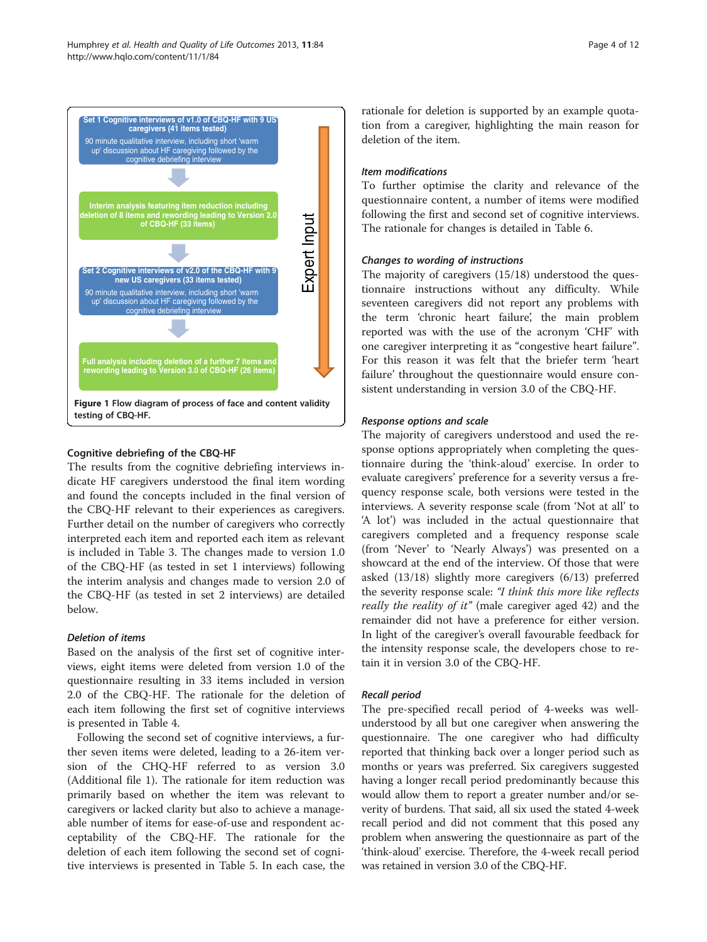

<span id="page-3-0"></span>

## Cognitive debriefing of the CBQ-HF

The results from the cognitive debriefing interviews indicate HF caregivers understood the final item wording and found the concepts included in the final version of the CBQ-HF relevant to their experiences as caregivers. Further detail on the number of caregivers who correctly interpreted each item and reported each item as relevant is included in Table [3.](#page-6-0) The changes made to version 1.0 of the CBQ-HF (as tested in set 1 interviews) following the interim analysis and changes made to version 2.0 of the CBQ-HF (as tested in set 2 interviews) are detailed below.

## Deletion of items

Based on the analysis of the first set of cognitive interviews, eight items were deleted from version 1.0 of the questionnaire resulting in 33 items included in version 2.0 of the CBQ-HF. The rationale for the deletion of each item following the first set of cognitive interviews is presented in Table [4](#page-9-0).

Following the second set of cognitive interviews, a further seven items were deleted, leading to a 26-item version of the CHQ-HF referred to as version 3.0 (Additional file [1\)](#page-10-0). The rationale for item reduction was primarily based on whether the item was relevant to caregivers or lacked clarity but also to achieve a manageable number of items for ease-of-use and respondent acceptability of the CBQ-HF. The rationale for the deletion of each item following the second set of cognitive interviews is presented in Table [5](#page-9-0). In each case, the rationale for deletion is supported by an example quotation from a caregiver, highlighting the main reason for deletion of the item.

## Item modifications

To further optimise the clarity and relevance of the questionnaire content, a number of items were modified following the first and second set of cognitive interviews. The rationale for changes is detailed in Table [6](#page-10-0).

## Changes to wording of instructions

The majority of caregivers (15/18) understood the questionnaire instructions without any difficulty. While seventeen caregivers did not report any problems with the term 'chronic heart failure', the main problem reported was with the use of the acronym 'CHF' with one caregiver interpreting it as "congestive heart failure". For this reason it was felt that the briefer term 'heart failure' throughout the questionnaire would ensure consistent understanding in version 3.0 of the CBQ-HF.

## Response options and scale

The majority of caregivers understood and used the response options appropriately when completing the questionnaire during the 'think-aloud' exercise. In order to evaluate caregivers' preference for a severity versus a frequency response scale, both versions were tested in the interviews. A severity response scale (from 'Not at all' to 'A lot') was included in the actual questionnaire that caregivers completed and a frequency response scale (from 'Never' to 'Nearly Always') was presented on a showcard at the end of the interview. Of those that were asked (13/18) slightly more caregivers (6/13) preferred the severity response scale: "I think this more like reflects really the reality of it" (male caregiver aged 42) and the remainder did not have a preference for either version. In light of the caregiver's overall favourable feedback for the intensity response scale, the developers chose to retain it in version 3.0 of the CBQ-HF.

## Recall period

The pre-specified recall period of 4-weeks was wellunderstood by all but one caregiver when answering the questionnaire. The one caregiver who had difficulty reported that thinking back over a longer period such as months or years was preferred. Six caregivers suggested having a longer recall period predominantly because this would allow them to report a greater number and/or severity of burdens. That said, all six used the stated 4-week recall period and did not comment that this posed any problem when answering the questionnaire as part of the 'think-aloud' exercise. Therefore, the 4-week recall period was retained in version 3.0 of the CBQ-HF.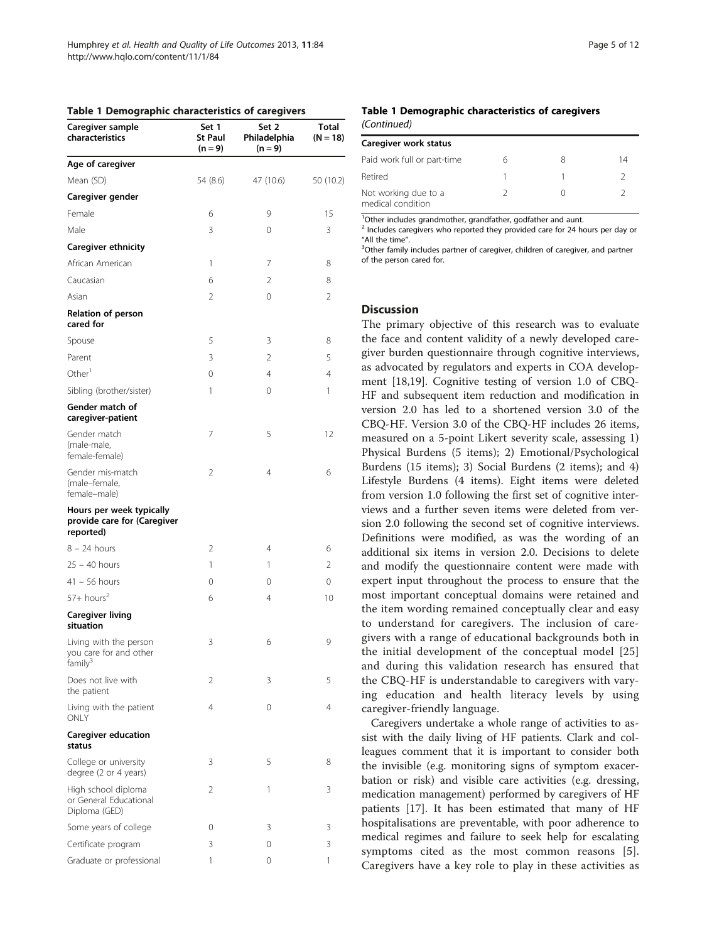<span id="page-4-0"></span>

|  |  |  | Table 1 Demographic characteristics of caregivers |  |  |
|--|--|--|---------------------------------------------------|--|--|
|--|--|--|---------------------------------------------------|--|--|

| Caregiver sample<br>characteristics                                     | Set 1<br>St Paul<br>$(n = 9)$ | Set 2<br>Philadelphia<br>$(n = 9)$ | Total<br>$(N = 18)$ |
|-------------------------------------------------------------------------|-------------------------------|------------------------------------|---------------------|
| Age of caregiver                                                        |                               |                                    |                     |
| Mean (SD)                                                               | 54 (8.6)                      | 47 (10.6)                          | 50 (10.2)           |
| Caregiver gender                                                        |                               |                                    |                     |
| Female                                                                  | 6                             | 9                                  | 15                  |
| Male                                                                    | 3                             | 0                                  | 3                   |
| Caregiver ethnicity                                                     |                               |                                    |                     |
| African American                                                        | 1                             | 7                                  | 8                   |
| Caucasian                                                               | 6                             | 2                                  | 8                   |
| Asian                                                                   | $\overline{2}$                | 0                                  | $\overline{2}$      |
| Relation of person<br>cared for                                         |                               |                                    |                     |
| Spouse                                                                  | 5                             | 3                                  | 8                   |
| Parent                                                                  | 3                             | 2                                  | 5                   |
| Other <sup>1</sup>                                                      | 0                             | 4                                  | 4                   |
| Sibling (brother/sister)                                                | 1                             | 0                                  | 1                   |
| Gender match of<br>caregiver-patient                                    |                               |                                    |                     |
| Gender match<br>(male-male,<br>female-female)                           | 7                             | 5                                  | 12                  |
| Gender mis-match<br>(male-female,<br>female-male)                       | 2                             | $\overline{4}$                     | 6                   |
| Hours per week typically<br>provide care for (Caregiver<br>reported)    |                               |                                    |                     |
| $8 - 24$ hours                                                          | 2                             | 4                                  | 6                   |
| $25 - 40$ hours                                                         | 1                             | 1                                  | 2                   |
| $41 - 56$ hours                                                         | 0                             | 0                                  | 0                   |
| $57+$ hours <sup>2</sup>                                                | 6                             | 4                                  | 10                  |
| <b>Caregiver living</b><br>situation                                    |                               |                                    |                     |
| Living with the person<br>you care for and other<br>family <sup>3</sup> | 3                             | 6                                  | 9                   |
| Does not live with<br>the patient                                       | 2                             | 3                                  | 5                   |
| Living with the patient<br>ONLY                                         | 4                             | 0                                  | 4                   |
| <b>Caregiver education</b><br>status                                    |                               |                                    |                     |
| College or university<br>degree (2 or 4 years)                          | 3                             | 5                                  | 8                   |
| High school diploma<br>or General Educational<br>Diploma (GED)          | 2                             | 1                                  | 3                   |
| Some years of college                                                   | 0                             | 3                                  | 3                   |
| Certificate program                                                     | 3                             | 0                                  | 3                   |
| Graduate or professional                                                | 1                             | 0                                  | 1                   |

#### Table 1 Demographic characteristics of caregivers (Continued)

| Caregiver work status                     |   |   |    |
|-------------------------------------------|---|---|----|
| Paid work full or part-time               | h | 8 | 14 |
| Retired                                   |   |   |    |
| Not working due to a<br>medical condition |   |   |    |

<sup>1</sup>Other includes grandmother, grandfather, godfather and aunt.

<sup>2</sup> Includes caregivers who reported they provided care for 24 hours per day or

"All the time".<br><sup>3</sup>Other family includes partner of caregiver, children of caregiver, and partner of the person cared for.

### **Discussion**

The primary objective of this research was to evaluate the face and content validity of a newly developed caregiver burden questionnaire through cognitive interviews, as advocated by regulators and experts in COA development [\[18,19](#page-11-0)]. Cognitive testing of version 1.0 of CBQ-HF and subsequent item reduction and modification in version 2.0 has led to a shortened version 3.0 of the CBQ-HF. Version 3.0 of the CBQ-HF includes 26 items, measured on a 5-point Likert severity scale, assessing 1) Physical Burdens (5 items); 2) Emotional/Psychological Burdens (15 items); 3) Social Burdens (2 items); and 4) Lifestyle Burdens (4 items). Eight items were deleted from version 1.0 following the first set of cognitive interviews and a further seven items were deleted from version 2.0 following the second set of cognitive interviews. Definitions were modified, as was the wording of an additional six items in version 2.0. Decisions to delete and modify the questionnaire content were made with expert input throughout the process to ensure that the most important conceptual domains were retained and the item wording remained conceptually clear and easy to understand for caregivers. The inclusion of caregivers with a range of educational backgrounds both in the initial development of the conceptual model [\[25](#page-11-0)] and during this validation research has ensured that the CBQ-HF is understandable to caregivers with varying education and health literacy levels by using caregiver-friendly language.

Caregivers undertake a whole range of activities to assist with the daily living of HF patients. Clark and colleagues comment that it is important to consider both the invisible (e.g. monitoring signs of symptom exacerbation or risk) and visible care activities (e.g. dressing, medication management) performed by caregivers of HF patients [\[17](#page-11-0)]. It has been estimated that many of HF hospitalisations are preventable, with poor adherence to medical regimes and failure to seek help for escalating symptoms cited as the most common reasons [[5](#page-11-0)]. Caregivers have a key role to play in these activities as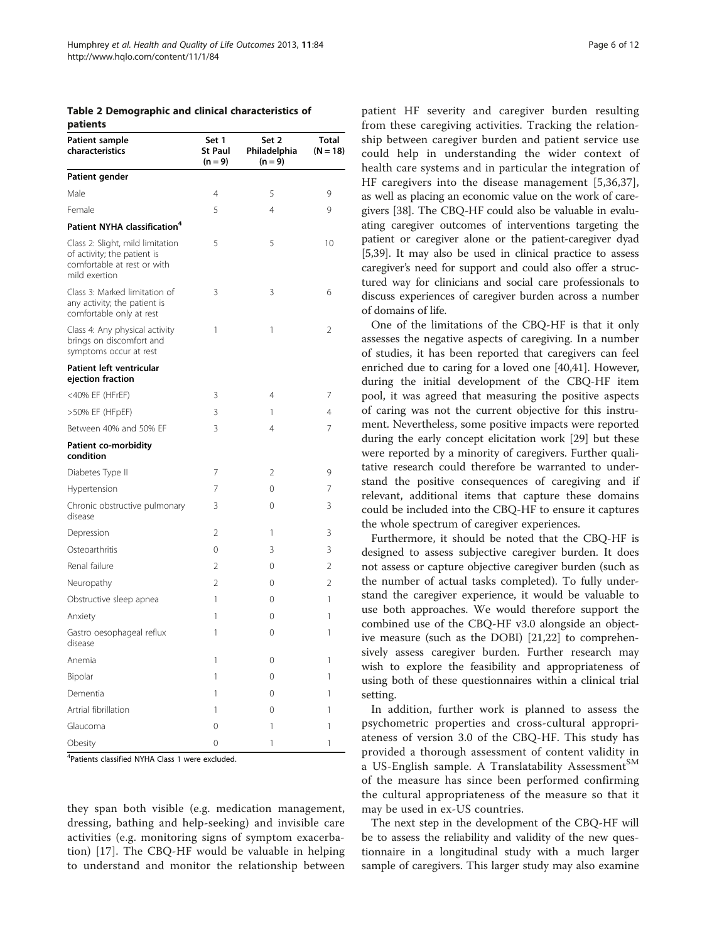<span id="page-5-0"></span>Table 2 Demographic and clinical characteristics of patients

| <b>Patient sample</b><br>characteristics                                                                        | Set 1<br>St Paul<br>$(n = 9)$ | Set 2<br>Philadelphia<br>$(n = 9)$ | Total<br>$(N = 18)$ |
|-----------------------------------------------------------------------------------------------------------------|-------------------------------|------------------------------------|---------------------|
| Patient gender                                                                                                  |                               |                                    |                     |
| Male                                                                                                            | $\overline{4}$                | 5                                  | 9                   |
| Female                                                                                                          | 5                             | $\overline{4}$                     | 9                   |
| Patient NYHA classification <sup>4</sup>                                                                        |                               |                                    |                     |
| Class 2: Slight, mild limitation<br>of activity; the patient is<br>comfortable at rest or with<br>mild exertion | 5                             | 5                                  | 10                  |
| Class 3: Marked limitation of<br>any activity; the patient is<br>comfortable only at rest                       | 3                             | 3                                  | 6                   |
| Class 4: Any physical activity<br>brings on discomfort and<br>symptoms occur at rest                            | 1                             | 1                                  | $\overline{2}$      |
| Patient left ventricular<br>ejection fraction                                                                   |                               |                                    |                     |
| <40% EF (HFrEF)                                                                                                 | 3                             | 4                                  | 7                   |
| >50% EF (HFpEF)                                                                                                 | 3                             | 1                                  | 4                   |
| Between 40% and 50% EF                                                                                          | 3                             | $\overline{4}$                     | 7                   |
| <b>Patient co-morbidity</b><br>condition                                                                        |                               |                                    |                     |
| Diabetes Type II                                                                                                | 7                             | 2                                  | 9                   |
| Hypertension                                                                                                    | 7                             | 0                                  | 7                   |
| Chronic obstructive pulmonary<br>disease                                                                        | 3                             | 0                                  | 3                   |
| Depression                                                                                                      | $\overline{2}$                | 1                                  | 3                   |
| Osteoarthritis                                                                                                  | $\overline{0}$                | 3                                  | 3                   |
| Renal failure                                                                                                   | $\overline{2}$                | 0                                  | $\overline{2}$      |
| Neuropathy                                                                                                      | $\overline{2}$                | 0                                  | $\overline{2}$      |
| Obstructive sleep apnea                                                                                         | 1                             | 0                                  | 1                   |
| Anxiety                                                                                                         | 1                             | $\Omega$                           | 1                   |
| Gastro oesophageal reflux<br>disease                                                                            | 1                             | $\Omega$                           | 1                   |
| Anemia                                                                                                          | 1                             | 0                                  | 1                   |
| Bipolar                                                                                                         | 1                             | 0                                  | 1                   |
| Dementia                                                                                                        | 1                             | $\Omega$                           | 1                   |
| Artrial fibrillation                                                                                            | 1                             | $\Omega$                           | 1                   |
| Glaucoma                                                                                                        | 0                             | 1                                  | 1                   |
| Obesity                                                                                                         | 0                             | 1                                  | 1                   |

4 Patients classified NYHA Class 1 were excluded.

they span both visible (e.g. medication management, dressing, bathing and help-seeking) and invisible care activities (e.g. monitoring signs of symptom exacerbation) [[17](#page-11-0)]. The CBQ-HF would be valuable in helping to understand and monitor the relationship between

patient HF severity and caregiver burden resulting from these caregiving activities. Tracking the relationship between caregiver burden and patient service use could help in understanding the wider context of health care systems and in particular the integration of HF caregivers into the disease management [\[5](#page-11-0),[36,37](#page-11-0)], as well as placing an economic value on the work of caregivers [\[38\]](#page-11-0). The CBQ-HF could also be valuable in evaluating caregiver outcomes of interventions targeting the patient or caregiver alone or the patient-caregiver dyad [[5,39](#page-11-0)]. It may also be used in clinical practice to assess caregiver's need for support and could also offer a structured way for clinicians and social care professionals to discuss experiences of caregiver burden across a number of domains of life.

One of the limitations of the CBQ-HF is that it only assesses the negative aspects of caregiving. In a number of studies, it has been reported that caregivers can feel enriched due to caring for a loved one [\[40,41\]](#page-11-0). However, during the initial development of the CBQ-HF item pool, it was agreed that measuring the positive aspects of caring was not the current objective for this instrument. Nevertheless, some positive impacts were reported during the early concept elicitation work [\[29\]](#page-11-0) but these were reported by a minority of caregivers. Further qualitative research could therefore be warranted to understand the positive consequences of caregiving and if relevant, additional items that capture these domains could be included into the CBQ-HF to ensure it captures the whole spectrum of caregiver experiences.

Furthermore, it should be noted that the CBQ-HF is designed to assess subjective caregiver burden. It does not assess or capture objective caregiver burden (such as the number of actual tasks completed). To fully understand the caregiver experience, it would be valuable to use both approaches. We would therefore support the combined use of the CBQ-HF v3.0 alongside an objective measure (such as the DOBI) [[21,22](#page-11-0)] to comprehensively assess caregiver burden. Further research may wish to explore the feasibility and appropriateness of using both of these questionnaires within a clinical trial setting.

In addition, further work is planned to assess the psychometric properties and cross-cultural appropriateness of version 3.0 of the CBQ-HF. This study has provided a thorough assessment of content validity in a US-English sample. A Translatability Assessment<sup>SM</sup> of the measure has since been performed confirming the cultural appropriateness of the measure so that it may be used in ex-US countries.

The next step in the development of the CBQ-HF will be to assess the reliability and validity of the new questionnaire in a longitudinal study with a much larger sample of caregivers. This larger study may also examine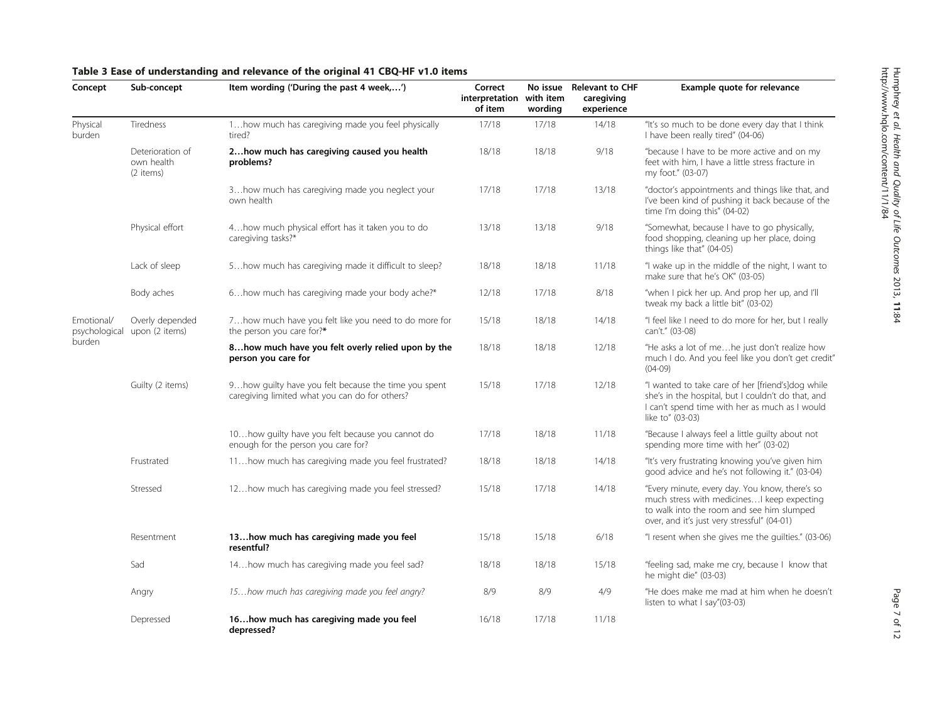| Concept                     | Sub-concept                                 | Item wording ('During the past 4 week,')                                                                | Correct<br>interpretation<br>of item | No issue<br>with item<br>wording | <b>Relevant to CHF</b><br>caregiving<br>experience | Example quote for relevance                                                                                                                                                               |
|-----------------------------|---------------------------------------------|---------------------------------------------------------------------------------------------------------|--------------------------------------|----------------------------------|----------------------------------------------------|-------------------------------------------------------------------------------------------------------------------------------------------------------------------------------------------|
| Physical<br>burden          | Tiredness                                   | 1 how much has caregiving made you feel physically<br>tired?                                            | 17/18                                | 17/18                            | 14/18                                              | "It's so much to be done every day that I think<br>I have been really tired" (04-06)                                                                                                      |
|                             | Deterioration of<br>own health<br>(2 items) | 2how much has caregiving caused you health<br>problems?                                                 | 18/18                                | 18/18                            | 9/18                                               | "because I have to be more active and on my<br>feet with him, I have a little stress fracture in<br>my foot." (03-07)                                                                     |
|                             |                                             | 3 how much has caregiving made you neglect your<br>own health                                           | 17/18                                | 17/18                            | 13/18                                              | "doctor's appointments and things like that, and<br>I've been kind of pushing it back because of the<br>time I'm doing this" (04-02)                                                      |
|                             | Physical effort                             | 4 how much physical effort has it taken you to do<br>caregiving tasks?*                                 | 13/18                                | 13/18                            | 9/18                                               | "Somewhat, because I have to go physically,<br>food shopping, cleaning up her place, doing<br>things like that" (04-05)                                                                   |
|                             | Lack of sleep                               | 5how much has caregiving made it difficult to sleep?                                                    | 18/18                                | 18/18                            | 11/18                                              | "I wake up in the middle of the night, I want to<br>make sure that he's OK" (03-05)                                                                                                       |
|                             | Body aches                                  | 6 how much has caregiving made your body ache?*                                                         | 12/18                                | 17/18                            | 8/18                                               | "when I pick her up. And prop her up, and I'll<br>tweak my back a little bit" (03-02)                                                                                                     |
| Emotional/<br>psychological | Overly depended<br>upon (2 items)           | 7how much have you felt like you need to do more for<br>the person you care for?*                       | 15/18                                | 18/18                            | 14/18                                              | "I feel like I need to do more for her, but I really<br>can't." (03-08)                                                                                                                   |
| burden                      |                                             | 8how much have you felt overly relied upon by the<br>person you care for                                | 18/18                                | 18/18                            | 12/18                                              | "He asks a lot of mehe just don't realize how<br>much I do. And you feel like you don't get credit"<br>$(04-09)$                                                                          |
|                             | Guilty (2 items)                            | 9 how quilty have you felt because the time you spent<br>caregiving limited what you can do for others? | 15/18                                | 17/18                            | 12/18                                              | "I wanted to take care of her [friend's]dog while<br>she's in the hospital, but I couldn't do that, and<br>I can't spend time with her as much as I would<br>like to" (03-03)             |
|                             |                                             | 10how guilty have you felt because you cannot do<br>enough for the person you care for?                 | 17/18                                | 18/18                            | 11/18                                              | "Because I always feel a little quilty about not<br>spending more time with her" (03-02)                                                                                                  |
|                             | Frustrated                                  | 11how much has caregiving made you feel frustrated?                                                     | 18/18                                | 18/18                            | 14/18                                              | "It's very frustrating knowing you've given him<br>good advice and he's not following it." (03-04)                                                                                        |
|                             | Stressed                                    | 12 how much has caregiving made you feel stressed?                                                      | 15/18                                | 17/18                            | 14/18                                              | "Every minute, every day. You know, there's so<br>much stress with medicines I keep expecting<br>to walk into the room and see him slumped<br>over, and it's just very stressful" (04-01) |
|                             | Resentment                                  | 13how much has caregiving made you feel<br>resentful?                                                   | 15/18                                | 15/18                            | 6/18                                               | "I resent when she gives me the guilties." (03-06)                                                                                                                                        |
|                             | Sad                                         | 14how much has caregiving made you feel sad?                                                            | 18/18                                | 18/18                            | 15/18                                              | "feeling sad, make me cry, because I know that<br>he might die" (03-03)                                                                                                                   |
|                             | Angry                                       | 15how much has caregiving made you feel angry?                                                          | 8/9                                  | 8/9                              | 4/9                                                | "He does make me mad at him when he doesn't<br>listen to what I say"(03-03)                                                                                                               |
|                             | Depressed                                   | 16how much has caregiving made you feel<br>depressed?                                                   | 16/18                                | 17/18                            | 11/18                                              |                                                                                                                                                                                           |

## <span id="page-6-0"></span>Table 3 Ease of understanding and relevance of the original 41 CBQ-HF v1.0 items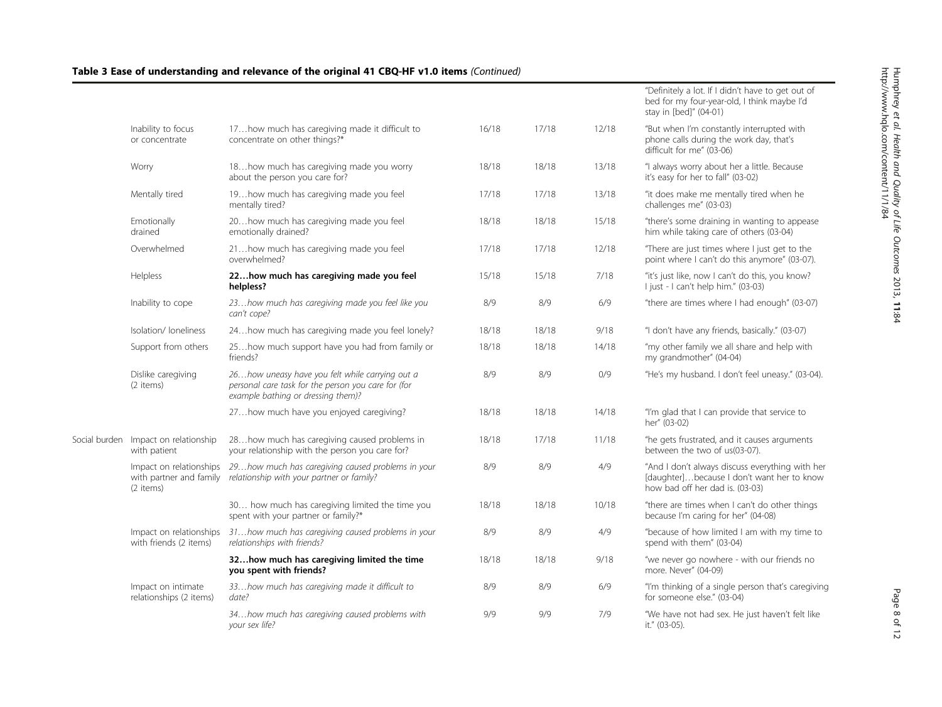|                                                      |                                                                                                                                                |       |       |       | "Definitely a lot. If I didn't have to get out of<br>bed for my four-year-old, I think maybe I'd<br>stay in [bed]" (04-01)       |
|------------------------------------------------------|------------------------------------------------------------------------------------------------------------------------------------------------|-------|-------|-------|----------------------------------------------------------------------------------------------------------------------------------|
| Inability to focus<br>or concentrate                 | 17how much has caregiving made it difficult to<br>concentrate on other things?*                                                                | 16/18 | 17/18 | 12/18 | "But when I'm constantly interrupted with<br>phone calls during the work day, that's<br>difficult for me" (03-06)                |
| Worry                                                | 18how much has caregiving made you worry<br>about the person you care for?                                                                     | 18/18 | 18/18 | 13/18 | "I always worry about her a little. Because<br>it's easy for her to fall" (03-02)                                                |
| Mentally tired                                       | 19how much has caregiving made you feel<br>mentally tired?                                                                                     | 17/18 | 17/18 | 13/18 | "it does make me mentally tired when he<br>challenges me" (03-03)                                                                |
| Emotionally<br>drained                               | 20how much has caregiving made you feel<br>emotionally drained?                                                                                | 18/18 | 18/18 | 15/18 | "there's some draining in wanting to appease<br>him while taking care of others (03-04)                                          |
| Overwhelmed                                          | 21how much has caregiving made you feel<br>overwhelmed?                                                                                        | 17/18 | 17/18 | 12/18 | "There are just times where I just get to the<br>point where I can't do this anymore" (03-07).                                   |
| Helpless                                             | 22how much has caregiving made you feel<br>helpless?                                                                                           | 15/18 | 15/18 | 7/18  | "it's just like, now I can't do this, you know?<br>I just - I can't help him." (03-03)                                           |
| Inability to cope                                    | 23how much has caregiving made you feel like you<br>can't cope?                                                                                | 8/9   | 8/9   | 6/9   | "there are times where I had enough" (03-07)                                                                                     |
| Isolation/Ioneliness                                 | 24how much has caregiving made you feel lonely?                                                                                                | 18/18 | 18/18 | 9/18  | "I don't have any friends, basically." (03-07)                                                                                   |
| Support from others                                  | 25how much support have you had from family or<br>friends?                                                                                     | 18/18 | 18/18 | 14/18 | "my other family we all share and help with<br>my grandmother" (04-04)                                                           |
| Dislike caregiving<br>(2 items)                      | 26how uneasy have you felt while carrying out a<br>personal care task for the person you care for (for<br>example bathing or dressing them)?   | 8/9   | 8/9   | 0/9   | "He's my husband. I don't feel uneasy." (03-04).                                                                                 |
|                                                      | 27how much have you enjoyed caregiving?                                                                                                        | 18/18 | 18/18 | 14/18 | "I'm glad that I can provide that service to<br>her" (03-02)                                                                     |
| Social burden Impact on relationship<br>with patient | 28how much has caregiving caused problems in<br>your relationship with the person you care for?                                                | 18/18 | 17/18 | 11/18 | "he gets frustrated, and it causes arguments<br>between the two of us(03-07).                                                    |
| (2 items)                                            | Impact on relationships 29how much has caregiving caused problems in your<br>with partner and family relationship with your partner or family? | 8/9   | 8/9   | 4/9   | "And I don't always discuss everything with her<br>[daughter]because I don't want her to know<br>how bad off her dad is. (03-03) |
|                                                      | 30 how much has caregiving limited the time you<br>spent with your partner or family?*                                                         | 18/18 | 18/18 | 10/18 | "there are times when I can't do other things<br>because I'm caring for her" (04-08)                                             |
| Impact on relationships<br>with friends (2 items)    | 31how much has caregiving caused problems in your<br>relationships with friends?                                                               | 8/9   | 8/9   | 4/9   | "because of how limited I am with my time to<br>spend with them" (03-04)                                                         |
|                                                      | 32how much has caregiving limited the time<br>you spent with friends?                                                                          | 18/18 | 18/18 | 9/18  | "we never go nowhere - with our friends no<br>more. Never" (04-09)                                                               |
| Impact on intimate<br>relationships (2 items)        | 33how much has caregiving made it difficult to<br>date?                                                                                        | 8/9   | 8/9   | 6/9   | "I'm thinking of a single person that's caregiving<br>for someone else." (03-04)                                                 |
|                                                      | 34how much has caregiving caused problems with<br>your sex life?                                                                               | 9/9   | 9/9   | 7/9   | "We have not had sex. He just haven't felt like<br>it." (03-05).                                                                 |

Table 3 Ease of understanding and relevance of the original 41 CBQ-HF v1.0 items (Continued)

Page 8 of 12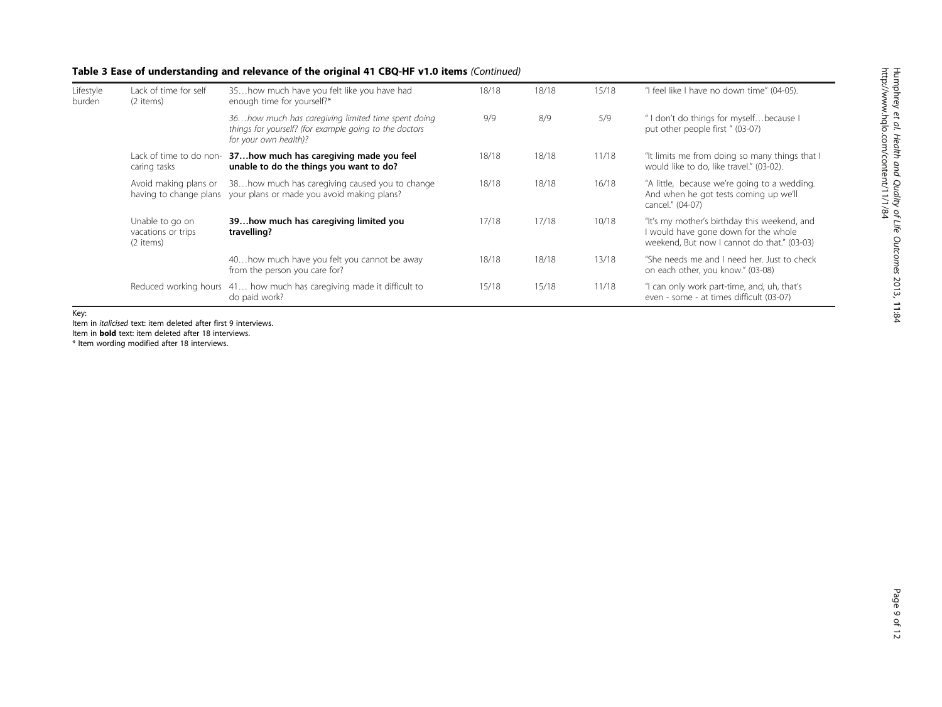## Table 3 Ease of understanding and relevance of the original 41 CBQ-HF v1.0 items (Continued)

| Lifestyle<br>burden | Lack of time for self<br>(2 items)                 | 35how much have you felt like you have had<br>enough time for yourself?*                                                              | 18/18 | 18/18 | 15/18 | "I feel like I have no down time" (04-05).                                                                                          |
|---------------------|----------------------------------------------------|---------------------------------------------------------------------------------------------------------------------------------------|-------|-------|-------|-------------------------------------------------------------------------------------------------------------------------------------|
|                     |                                                    | 36how much has caregiving limited time spent doing<br>things for yourself? (for example going to the doctors<br>for your own health)? | 9/9   | 8/9   | 5/9   | " I don't do things for myselfbecause I<br>put other people first " (03-07)                                                         |
|                     | Lack of time to do non-<br>caring tasks            | 37how much has caregiving made you feel<br>unable to do the things you want to do?                                                    | 18/18 | 18/18 | 11/18 | "It limits me from doing so many things that I<br>would like to do, like travel." (03-02).                                          |
|                     | Avoid making plans or<br>having to change plans    | 38how much has caregiving caused you to change<br>your plans or made you avoid making plans?                                          | 18/18 | 18/18 | 16/18 | "A little, because we're going to a wedding.<br>And when he got tests coming up we'll<br>cancel." (04-07)                           |
|                     | Unable to go on<br>vacations or trips<br>(2 items) | 39how much has caregiving limited you<br>travelling?                                                                                  | 17/18 | 17/18 | 10/18 | "It's my mother's birthday this weekend, and<br>I would have gone down for the whole<br>weekend, But now I cannot do that." (03-03) |
|                     |                                                    | 40how much have you felt you cannot be away<br>from the person you care for?                                                          | 18/18 | 18/18 | 13/18 | "She needs me and I need her. Just to check<br>on each other, you know." (03-08)                                                    |
|                     | Reduced working hours                              | 41 how much has caregiving made it difficult to<br>do paid work?                                                                      | 15/18 | 15/18 | 11/18 | "I can only work part-time, and, uh, that's<br>even - some - at times difficult (03-07)                                             |

Key:

Item in italicised text: item deleted after first 9 interviews.

Item in **bold** text: item deleted after 18 interviews.

\* Item wording modified after 18 interviews.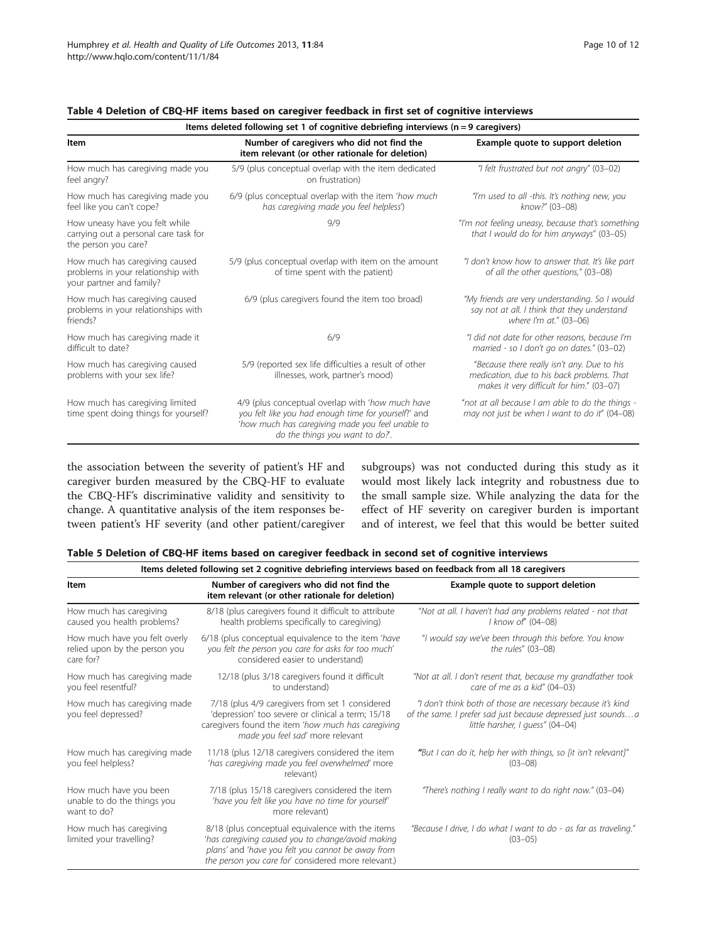| Items deleted following set 1 of cognitive debriefing interviews $(n = 9$ caregivers)            |                                                                                                                                                                                                |                                                                                                                                        |  |  |
|--------------------------------------------------------------------------------------------------|------------------------------------------------------------------------------------------------------------------------------------------------------------------------------------------------|----------------------------------------------------------------------------------------------------------------------------------------|--|--|
| Item                                                                                             | Number of caregivers who did not find the<br>item relevant (or other rationale for deletion)                                                                                                   | Example quote to support deletion                                                                                                      |  |  |
| How much has caregiving made you<br>feel angry?                                                  | 5/9 (plus conceptual overlap with the item dedicated<br>on frustration)                                                                                                                        | "I felt frustrated but not angry" (03-02)                                                                                              |  |  |
| How much has caregiving made you<br>feel like you can't cope?                                    | 6/9 (plus conceptual overlap with the item 'how much<br>has caregiving made you feel helpless')                                                                                                | "I'm used to all -this. It's nothing new, you<br>know?" (03-08)                                                                        |  |  |
| How uneasy have you felt while<br>carrying out a personal care task for<br>the person you care?  | 9/9                                                                                                                                                                                            | "I'm not feeling uneasy, because that's something<br>that I would do for him anyways" (03-05)                                          |  |  |
| How much has caregiving caused<br>problems in your relationship with<br>your partner and family? | 5/9 (plus conceptual overlap with item on the amount<br>of time spent with the patient)                                                                                                        | "I don't know how to answer that. It's like part<br>of all the other questions," (03-08)                                               |  |  |
| How much has caregiving caused<br>problems in your relationships with<br>friends?                | 6/9 (plus caregivers found the item too broad)                                                                                                                                                 | "My friends are very understanding. So I would<br>say not at all. I think that they understand<br>where I'm at." (03-06)               |  |  |
| How much has caregiving made it<br>difficult to date?                                            | 6/9                                                                                                                                                                                            | "I did not date for other reasons, because I'm<br>married - so I don't go on dates." (03-02)                                           |  |  |
| How much has caregiving caused<br>problems with your sex life?                                   | 5/9 (reported sex life difficulties a result of other<br>illnesses, work, partner's mood)                                                                                                      | "Because there really isn't any. Due to his<br>medication, due to his back problems. That<br>makes it very difficult for him." (03-07) |  |  |
| How much has caregiving limited<br>time spent doing things for yourself?                         | 4/9 (plus conceptual overlap with 'how much have<br>you felt like you had enough time for yourself?' and<br>'how much has caregiving made you feel unable to<br>do the things you want to do?. | "not at all because I am able to do the things -<br>may not just be when I want to do it" (04-08)                                      |  |  |

## <span id="page-9-0"></span>Table 4 Deletion of CBQ-HF items based on caregiver feedback in first set of cognitive interviews

the association between the severity of patient's HF and caregiver burden measured by the CBQ-HF to evaluate the CBQ-HF's discriminative validity and sensitivity to change. A quantitative analysis of the item responses between patient's HF severity (and other patient/caregiver subgroups) was not conducted during this study as it would most likely lack integrity and robustness due to the small sample size. While analyzing the data for the effect of HF severity on caregiver burden is important and of interest, we feel that this would be better suited

| Table 5 Deletion of CBQ-HF items based on caregiver feedback in second set of cognitive interviews |  |  |
|----------------------------------------------------------------------------------------------------|--|--|
|----------------------------------------------------------------------------------------------------|--|--|

| Items deleted following set 2 cognitive debriefing interviews based on feedback from all 18 caregivers |                                                                                                                                                                                                                   |                                                                                                                                                                   |  |  |
|--------------------------------------------------------------------------------------------------------|-------------------------------------------------------------------------------------------------------------------------------------------------------------------------------------------------------------------|-------------------------------------------------------------------------------------------------------------------------------------------------------------------|--|--|
| Item                                                                                                   | Number of caregivers who did not find the<br>item relevant (or other rationale for deletion)                                                                                                                      | Example quote to support deletion                                                                                                                                 |  |  |
| How much has caregiving<br>caused you health problems?                                                 | 8/18 (plus caregivers found it difficult to attribute<br>health problems specifically to caregiving)                                                                                                              | "Not at all. I haven't had any problems related - not that<br>I know of" (04–08)                                                                                  |  |  |
| How much have you felt overly<br>relied upon by the person you<br>care for?                            | 6/18 (plus conceptual equivalence to the item 'have<br>you felt the person you care for asks for too much'<br>considered easier to understand)                                                                    | "I would say we've been through this before. You know<br>the rules" (03-08)                                                                                       |  |  |
| How much has caregiving made<br>you feel resentful?                                                    | 12/18 (plus 3/18 caregivers found it difficult<br>to understand)                                                                                                                                                  | "Not at all. I don't resent that, because my grandfather took<br>care of me as a kid" (04-03)                                                                     |  |  |
| How much has caregiving made<br>you feel depressed?                                                    | 7/18 (plus 4/9 caregivers from set 1 considered<br>'depression' too severe or clinical a term; 15/18<br>caregivers found the item 'how much has caregiving<br>made you feel sad' more relevant                    | "I don't think both of those are necessary because it's kind<br>of the same. I prefer sad just because depressed just soundsa<br>little harsher, I guess" (04-04) |  |  |
| How much has caregiving made<br>you feel helpless?                                                     | 11/18 (plus 12/18 caregivers considered the item<br>'has caregiving made you feel overwhelmed' more<br>relevant)                                                                                                  | "But I can do it, help her with things, so [it isn't relevant]"<br>$(03 - 08)$                                                                                    |  |  |
| How much have you been<br>unable to do the things you<br>want to do?                                   | 7/18 (plus 15/18 caregivers considered the item<br>'have you felt like you have no time for yourself'<br>more relevant)                                                                                           | "There's nothing I really want to do right now." (03-04)                                                                                                          |  |  |
| How much has caregiving<br>limited your travelling?                                                    | 8/18 (plus conceptual equivalence with the items<br>'has caregiving caused you to change/avoid making<br>plans' and 'have you felt you cannot be away from<br>the person you care for' considered more relevant.) | "Because I drive, I do what I want to do - as far as traveling."<br>$(03 - 05)$                                                                                   |  |  |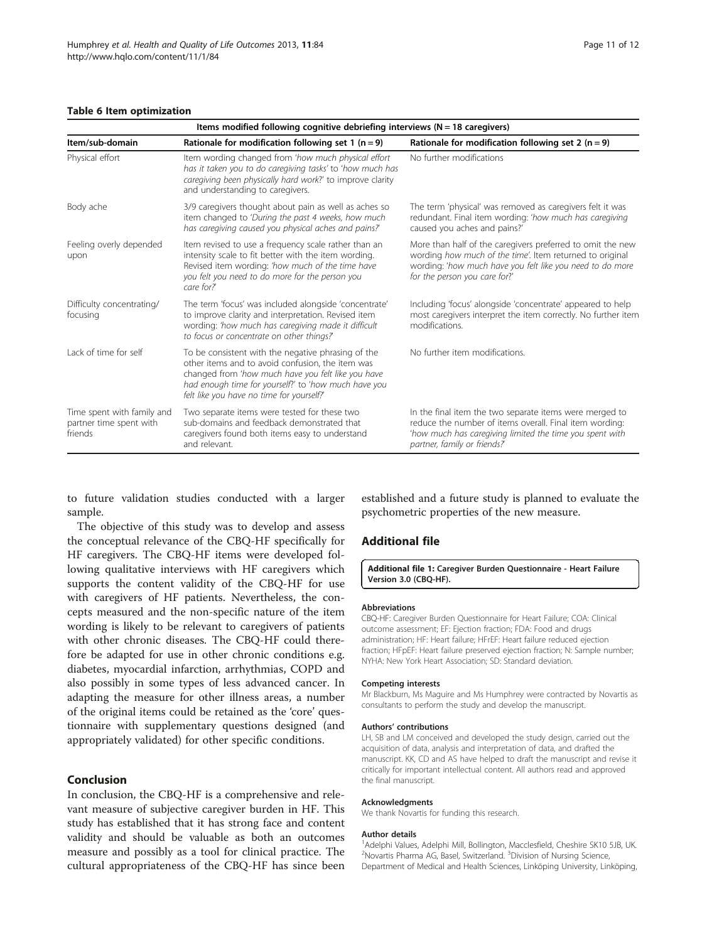#### <span id="page-10-0"></span>Table 6 Item optimization

| Items modified following cognitive debriefing interviews ( $N = 18$ caregivers) |                                                                                                                                                                                                                                                                   |                                                                                                                                                                                                                      |  |  |
|---------------------------------------------------------------------------------|-------------------------------------------------------------------------------------------------------------------------------------------------------------------------------------------------------------------------------------------------------------------|----------------------------------------------------------------------------------------------------------------------------------------------------------------------------------------------------------------------|--|--|
| Item/sub-domain                                                                 | Rationale for modification following set 1 ( $n = 9$ )                                                                                                                                                                                                            | Rationale for modification following set 2 ( $n = 9$ )                                                                                                                                                               |  |  |
| Physical effort                                                                 | Item wording changed from 'how much physical effort<br>has it taken you to do caregiving tasks' to 'how much has<br>caregiving been physically hard work?' to improve clarity<br>and understanding to caregivers.                                                 | No further modifications                                                                                                                                                                                             |  |  |
| Body ache                                                                       | 3/9 caregivers thought about pain as well as aches so<br>item changed to 'During the past 4 weeks, how much<br>has caregiving caused you physical aches and pains?                                                                                                | The term 'physical' was removed as caregivers felt it was<br>redundant. Final item wording: 'how much has caregiving<br>caused you aches and pains?'                                                                 |  |  |
| Feeling overly depended<br>upon                                                 | Item revised to use a frequency scale rather than an<br>intensity scale to fit better with the item wording.<br>Revised item wording: 'how much of the time have<br>you felt you need to do more for the person you<br>care for?'                                 | More than half of the caregivers preferred to omit the new<br>wording how much of the time'. Item returned to original<br>wording: 'how much have you felt like you need to do more<br>for the person you care for?' |  |  |
| Difficulty concentrating/<br>focusing                                           | The term 'focus' was included alongside 'concentrate'<br>to improve clarity and interpretation. Revised item<br>wording: 'how much has caregiving made it difficult<br>to focus or concentrate on other things?                                                   | Including 'focus' alongside 'concentrate' appeared to help<br>most caregivers interpret the item correctly. No further item<br>modifications.                                                                        |  |  |
| Lack of time for self                                                           | To be consistent with the negative phrasing of the<br>other items and to avoid confusion, the item was<br>changed from 'how much have you felt like you have<br>had enough time for yourself?' to 'how much have you<br>felt like you have no time for yourself?' | No further item modifications.                                                                                                                                                                                       |  |  |
| Time spent with family and<br>partner time spent with<br>friends                | Two separate items were tested for these two<br>sub-domains and feedback demonstrated that<br>caregivers found both items easy to understand<br>and relevant.                                                                                                     | In the final item the two separate items were merged to<br>reduce the number of items overall. Final item wording:<br>'how much has caregiving limited the time you spent with<br>partner, family or friends?        |  |  |

to future validation studies conducted with a larger sample.

The objective of this study was to develop and assess the conceptual relevance of the CBQ-HF specifically for HF caregivers. The CBQ-HF items were developed following qualitative interviews with HF caregivers which supports the content validity of the CBQ-HF for use with caregivers of HF patients. Nevertheless, the concepts measured and the non-specific nature of the item wording is likely to be relevant to caregivers of patients with other chronic diseases. The CBQ-HF could therefore be adapted for use in other chronic conditions e.g. diabetes, myocardial infarction, arrhythmias, COPD and also possibly in some types of less advanced cancer. In adapting the measure for other illness areas, a number of the original items could be retained as the 'core' questionnaire with supplementary questions designed (and appropriately validated) for other specific conditions.

## Conclusion

In conclusion, the CBQ-HF is a comprehensive and relevant measure of subjective caregiver burden in HF. This study has established that it has strong face and content validity and should be valuable as both an outcomes measure and possibly as a tool for clinical practice. The cultural appropriateness of the CBQ-HF has since been

established and a future study is planned to evaluate the psychometric properties of the new measure.

## Additional file

[Additional file 1:](http://www.biomedcentral.com/content/supplementary/1477-7525-11-84-S1.docx) Caregiver Burden Questionnaire - Heart Failure Version 3.0 (CBQ-HF).

#### Abbreviations

CBQ-HF: Caregiver Burden Questionnaire for Heart Failure; COA: Clinical outcome assessment; EF: Ejection fraction; FDA: Food and drugs administration; HF: Heart failure; HFrEF: Heart failure reduced ejection fraction: HFpEF: Heart failure preserved ejection fraction: N: Sample number: NYHA: New York Heart Association; SD: Standard deviation.

#### Competing interests

Mr Blackburn, Ms Maguire and Ms Humphrey were contracted by Novartis as consultants to perform the study and develop the manuscript.

#### Authors' contributions

LH, SB and LM conceived and developed the study design, carried out the acquisition of data, analysis and interpretation of data, and drafted the manuscript. KK, CD and AS have helped to draft the manuscript and revise it critically for important intellectual content. All authors read and approved the final manuscript.

#### Acknowledgments

We thank Novartis for funding this research.

#### Author details

<sup>1</sup> Adelphi Values, Adelphi Mill, Bollington, Macclesfield, Cheshire SK10 5JB, UK <sup>2</sup>Novartis Pharma AG, Basel, Switzerland. <sup>3</sup>Division of Nursing Science, Department of Medical and Health Sciences, Linköping University, Linköping,